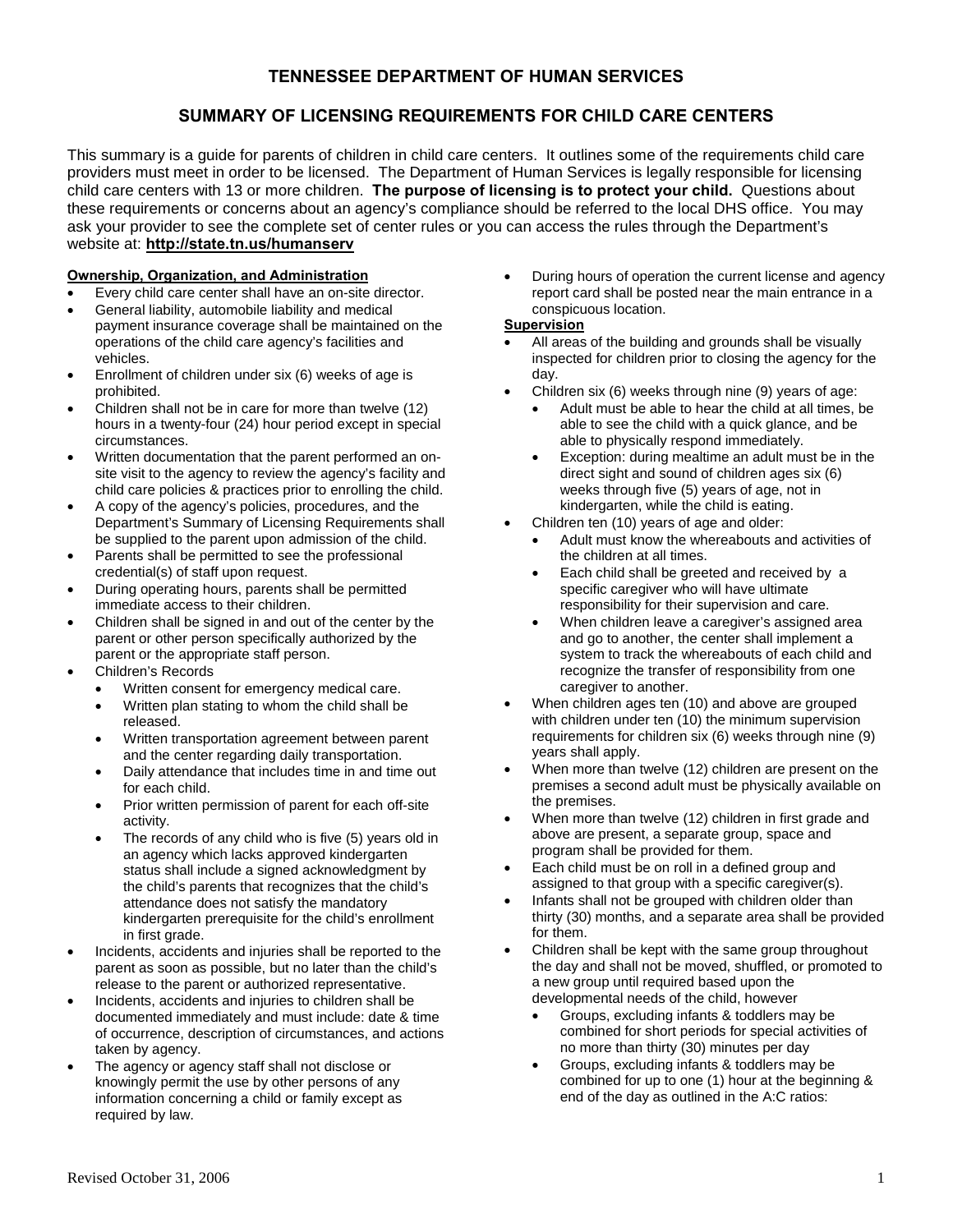# **TENNESSEE DEPARTMENT OF HUMAN SERVICES**

# **SUMMARY OF LICENSING REQUIREMENTS FOR CHILD CARE CENTERS**

This summary is a guide for parents of children in child care centers. It outlines some of the requirements child care providers must meet in order to be licensed. The Department of Human Services is legally responsible for licensing child care centers with 13 or more children. **The purpose of licensing is to protect your child.** Questions about these requirements or concerns about an agency's compliance should be referred to the local DHS office. You may ask your provider to see the complete set of center rules or you can access the rules through the Department's website at: **<http://state.tn.us/humanserv>**

## **Ownership, Organization, and Administration**

- Every child care center shall have an on-site director.
- General liability, automobile liability and medical payment insurance coverage shall be maintained on the operations of the child care agency's facilities and vehicles.
- Enrollment of children under six (6) weeks of age is prohibited.
- Children shall not be in care for more than twelve (12) hours in a twenty-four (24) hour period except in special circumstances.
- Written documentation that the parent performed an onsite visit to the agency to review the agency's facility and child care policies & practices prior to enrolling the child.
- A copy of the agency's policies, procedures, and the Department's Summary of Licensing Requirements shall be supplied to the parent upon admission of the child.
- Parents shall be permitted to see the professional credential(s) of staff upon request.
- During operating hours, parents shall be permitted immediate access to their children.
- Children shall be signed in and out of the center by the parent or other person specifically authorized by the parent or the appropriate staff person.
- Children's Records
	- Written consent for emergency medical care.
	- Written plan stating to whom the child shall be released.
	- Written transportation agreement between parent and the center regarding daily transportation.
	- Daily attendance that includes time in and time out for each child.
	- Prior written permission of parent for each off-site activity.
	- The records of any child who is five (5) years old in an agency which lacks approved kindergarten status shall include a signed acknowledgment by the child's parents that recognizes that the child's attendance does not satisfy the mandatory kindergarten prerequisite for the child's enrollment in first grade.
- Incidents, accidents and injuries shall be reported to the parent as soon as possible, but no later than the child's release to the parent or authorized representative.
- Incidents, accidents and injuries to children shall be documented immediately and must include: date & time of occurrence, description of circumstances, and actions taken by agency.
- The agency or agency staff shall not disclose or knowingly permit the use by other persons of any information concerning a child or family except as required by law.

• During hours of operation the current license and agency report card shall be posted near the main entrance in a conspicuous location.

## **Supervision**

- All areas of the building and grounds shall be visually inspected for children prior to closing the agency for the day.
- Children six (6) weeks through nine (9) years of age:
	- Adult must be able to hear the child at all times, be able to see the child with a quick glance, and be able to physically respond immediately.
	- Exception: during mealtime an adult must be in the direct sight and sound of children ages six (6) weeks through five (5) years of age, not in kindergarten, while the child is eating.
- Children ten (10) years of age and older:
	- Adult must know the whereabouts and activities of the children at all times.
	- Each child shall be greeted and received by a specific caregiver who will have ultimate responsibility for their supervision and care.
	- When children leave a caregiver's assigned area and go to another, the center shall implement a system to track the whereabouts of each child and recognize the transfer of responsibility from one caregiver to another.
- When children ages ten (10) and above are grouped with children under ten (10) the minimum supervision requirements for children six (6) weeks through nine (9) years shall apply.
- When more than twelve (12) children are present on the premises a second adult must be physically available on the premises.
- When more than twelve (12) children in first grade and above are present, a separate group, space and program shall be provided for them.
- Each child must be on roll in a defined group and assigned to that group with a specific caregiver(s).
- Infants shall not be grouped with children older than thirty (30) months, and a separate area shall be provided for them.
- Children shall be kept with the same group throughout the day and shall not be moved, shuffled, or promoted to a new group until required based upon the developmental needs of the child, however
	- Groups, excluding infants & toddlers may be combined for short periods for special activities of no more than thirty (30) minutes per day
	- Groups, excluding infants & toddlers may be combined for up to one (1) hour at the beginning & end of the day as outlined in the A:C ratios: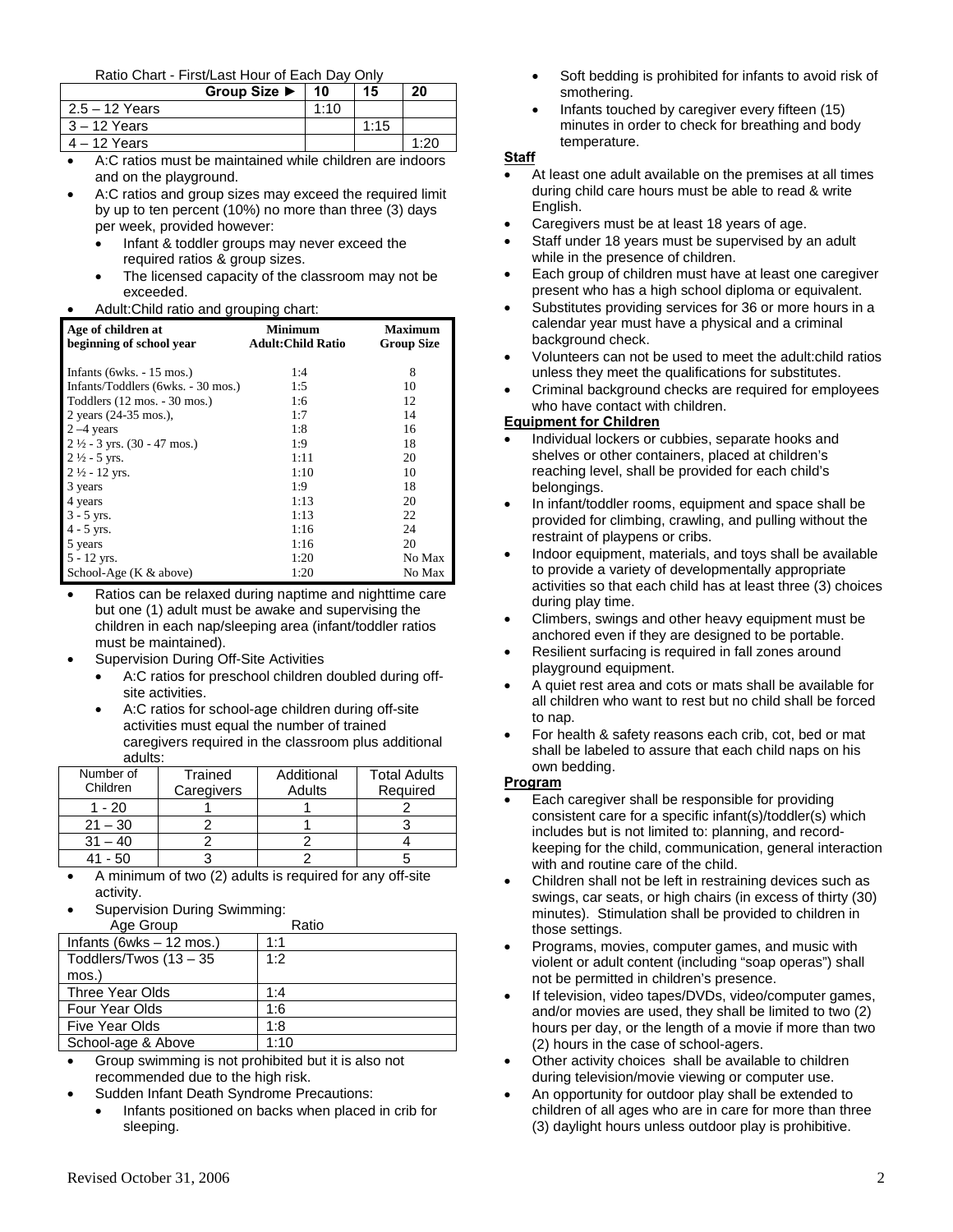#### Ratio Chart - First/Last Hour of Each Day Only

|                  | Group Size $\blacktriangleright$ | 10   | 15   | 20   |
|------------------|----------------------------------|------|------|------|
| $2.5 - 12$ Years |                                  | 1:10 |      |      |
| $3 - 12$ Years   |                                  |      | 1:15 |      |
| $4 - 12$ Years   |                                  |      |      | 1.2c |

- A:C ratios must be maintained while children are indoors and on the playground.
	- A:C ratios and group sizes may exceed the required limit by up to ten percent (10%) no more than three (3) days per week, provided however:
		- Infant & toddler groups may never exceed the required ratios & group sizes.
		- The licensed capacity of the classroom may not be exceeded.
- Adult:Child ratio and grouping chart:

| Age of children at<br>beginning of school year | <b>Minimum</b><br><b>Adult: Child Ratio</b> | <b>Maximum</b><br><b>Group Size</b> |
|------------------------------------------------|---------------------------------------------|-------------------------------------|
| Infants (6wks. $-15$ mos.)                     | 1:4                                         | 8                                   |
| Infants/Toddlers (6wks. - 30 mos.)             | 1:5                                         | 10                                  |
| Toddlers (12 mos. - 30 mos.)                   | 1:6                                         | 12                                  |
| 2 years (24-35 mos.),                          | 1:7                                         | 14                                  |
| $2 - 4$ years                                  | 1:8                                         | 16                                  |
| $2\frac{1}{2}$ - 3 yrs. (30 - 47 mos.)         | 1:9                                         | 18                                  |
| $2\frac{1}{2}$ - 5 yrs.                        | 1:11                                        | 20                                  |
| $2\frac{1}{2}$ - 12 yrs.                       | 1:10                                        | 10                                  |
| 3 years                                        | 1:9                                         | 18                                  |
| 4 years                                        | 1:13                                        | 20                                  |
| $3 - 5$ yrs.                                   | 1:13                                        | 22                                  |
| $4 - 5$ yrs.                                   | 1:16                                        | 24                                  |
| 5 years                                        | 1:16                                        | 20                                  |
| $5 - 12$ yrs.                                  | 1:20                                        | No Max                              |
| School-Age $(K & above)$                       | 1:20                                        | No Max                              |

- Ratios can be relaxed during naptime and nighttime care but one (1) adult must be awake and supervising the children in each nap/sleeping area (infant/toddler ratios must be maintained).
- Supervision During Off-Site Activities
	- A:C ratios for preschool children doubled during offsite activities.
	- A:C ratios for school-age children during off-site activities must equal the number of trained caregivers required in the classroom plus additional adults:

| Number of | Trained    | Additional | <b>Total Adults</b> |
|-----------|------------|------------|---------------------|
| Children  | Caregivers | Adults     | Required            |
| $1 - 20$  |            |            |                     |
| $21 - 30$ |            |            |                     |
| $31 - 40$ |            |            |                     |
| 50        |            |            |                     |

- A minimum of two (2) adults is required for any off-site activity.
- Supervision During Swimming:

| Age Group                 | Ratio |
|---------------------------|-------|
| Infants (6wks $-12$ mos.) | 1:1   |
| Toddlers/Twos $(13 - 35)$ | 1:2   |
| mos.)                     |       |
| Three Year Olds           | 1:4   |
| Four Year Olds            | 1:6   |
| Five Year Olds            | 1:8   |
| School-age & Above        | 1:10  |

• Group swimming is not prohibited but it is also not recommended due to the high risk.

- Sudden Infant Death Syndrome Precautions:
	- Infants positioned on backs when placed in crib for sleeping.
- Soft bedding is prohibited for infants to avoid risk of smothering.
- Infants touched by caregiver every fifteen (15) minutes in order to check for breathing and body temperature.

#### **Staff**

- At least one adult available on the premises at all times during child care hours must be able to read & write English.
- Caregivers must be at least 18 years of age.
- Staff under 18 years must be supervised by an adult while in the presence of children.
- Each group of children must have at least one caregiver present who has a high school diploma or equivalent.
- Substitutes providing services for 36 or more hours in a calendar year must have a physical and a criminal background check.
- Volunteers can not be used to meet the adult:child ratios unless they meet the qualifications for substitutes.
- Criminal background checks are required for employees who have contact with children.

#### **Equipment for Children**

- Individual lockers or cubbies, separate hooks and shelves or other containers, placed at children's reaching level, shall be provided for each child's belongings.
- In infant/toddler rooms, equipment and space shall be provided for climbing, crawling, and pulling without the restraint of playpens or cribs.
- Indoor equipment, materials, and toys shall be available to provide a variety of developmentally appropriate activities so that each child has at least three (3) choices during play time.
- Climbers, swings and other heavy equipment must be anchored even if they are designed to be portable.
- Resilient surfacing is required in fall zones around playground equipment.
- A quiet rest area and cots or mats shall be available for all children who want to rest but no child shall be forced to nap.
- For health & safety reasons each crib, cot, bed or mat shall be labeled to assure that each child naps on his own bedding.

#### **Program**

- Each caregiver shall be responsible for providing consistent care for a specific infant(s)/toddler(s) which includes but is not limited to: planning, and recordkeeping for the child, communication, general interaction with and routine care of the child.
- Children shall not be left in restraining devices such as swings, car seats, or high chairs (in excess of thirty (30) minutes). Stimulation shall be provided to children in those settings.
- Programs, movies, computer games, and music with violent or adult content (including "soap operas") shall not be permitted in children's presence.
- If television, video tapes/DVDs, video/computer games, and/or movies are used, they shall be limited to two (2) hours per day, or the length of a movie if more than two (2) hours in the case of school-agers.
- Other activity choices shall be available to children during television/movie viewing or computer use.
- An opportunity for outdoor play shall be extended to children of all ages who are in care for more than three (3) daylight hours unless outdoor play is prohibitive.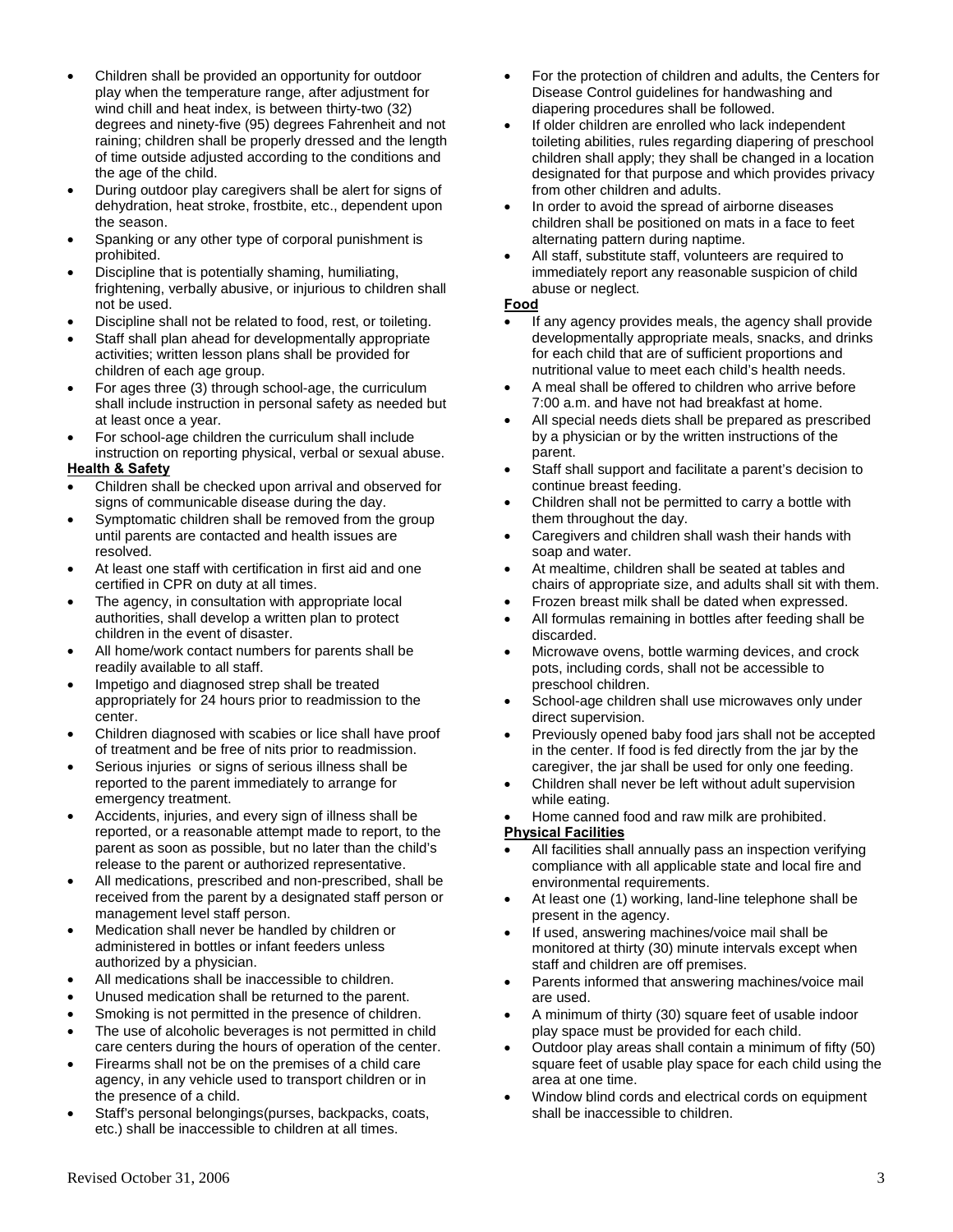- Children shall be provided an opportunity for outdoor play when the temperature range, after adjustment for wind chill and heat index, is between thirty-two (32) degrees and ninety-five (95) degrees Fahrenheit and not raining; children shall be properly dressed and the length of time outside adjusted according to the conditions and the age of the child.
- During outdoor play caregivers shall be alert for signs of dehydration, heat stroke, frostbite, etc., dependent upon the season.
- Spanking or any other type of corporal punishment is prohibited.
- Discipline that is potentially shaming, humiliating, frightening, verbally abusive, or injurious to children shall not be used.
- Discipline shall not be related to food, rest, or toileting.
- Staff shall plan ahead for developmentally appropriate activities; written lesson plans shall be provided for children of each age group.
- For ages three (3) through school-age, the curriculum shall include instruction in personal safety as needed but at least once a year.
- For school-age children the curriculum shall include instruction on reporting physical, verbal or sexual abuse.

# **Health & Safety**

- Children shall be checked upon arrival and observed for signs of communicable disease during the day.
- Symptomatic children shall be removed from the group until parents are contacted and health issues are resolved.
- At least one staff with certification in first aid and one certified in CPR on duty at all times.
- The agency, in consultation with appropriate local authorities, shall develop a written plan to protect children in the event of disaster.
- All home/work contact numbers for parents shall be readily available to all staff.
- Impetigo and diagnosed strep shall be treated appropriately for 24 hours prior to readmission to the center.
- Children diagnosed with scabies or lice shall have proof of treatment and be free of nits prior to readmission.
- Serious injuries or signs of serious illness shall be reported to the parent immediately to arrange for emergency treatment.
- Accidents, injuries, and every sign of illness shall be reported, or a reasonable attempt made to report, to the parent as soon as possible, but no later than the child's release to the parent or authorized representative.
- All medications, prescribed and non-prescribed, shall be received from the parent by a designated staff person or management level staff person.
- Medication shall never be handled by children or administered in bottles or infant feeders unless authorized by a physician.
- All medications shall be inaccessible to children.
- Unused medication shall be returned to the parent.
- Smoking is not permitted in the presence of children.
- The use of alcoholic beverages is not permitted in child care centers during the hours of operation of the center.
- Firearms shall not be on the premises of a child care agency, in any vehicle used to transport children or in the presence of a child.
- Staff's personal belongings(purses, backpacks, coats, etc.) shall be inaccessible to children at all times.
- For the protection of children and adults, the Centers for Disease Control guidelines for handwashing and diapering procedures shall be followed.
- If older children are enrolled who lack independent toileting abilities, rules regarding diapering of preschool children shall apply; they shall be changed in a location designated for that purpose and which provides privacy from other children and adults.
- In order to avoid the spread of airborne diseases children shall be positioned on mats in a face to feet alternating pattern during naptime.
- All staff, substitute staff, volunteers are required to immediately report any reasonable suspicion of child abuse or neglect.

## **Food**

- If any agency provides meals, the agency shall provide developmentally appropriate meals, snacks, and drinks for each child that are of sufficient proportions and nutritional value to meet each child's health needs.
- A meal shall be offered to children who arrive before 7:00 a.m. and have not had breakfast at home.
- All special needs diets shall be prepared as prescribed by a physician or by the written instructions of the parent.
- Staff shall support and facilitate a parent's decision to continue breast feeding.
- Children shall not be permitted to carry a bottle with them throughout the day.
- Caregivers and children shall wash their hands with soap and water.
- At mealtime, children shall be seated at tables and chairs of appropriate size, and adults shall sit with them.
- Frozen breast milk shall be dated when expressed.
- All formulas remaining in bottles after feeding shall be discarded.
- Microwave ovens, bottle warming devices, and crock pots, including cords, shall not be accessible to preschool children.
- School-age children shall use microwaves only under direct supervision.
- Previously opened baby food jars shall not be accepted in the center. If food is fed directly from the jar by the caregiver, the jar shall be used for only one feeding.
- Children shall never be left without adult supervision while eating.
- Home canned food and raw milk are prohibited.

## **Physical Facilities**

- All facilities shall annually pass an inspection verifying compliance with all applicable state and local fire and environmental requirements.
- At least one (1) working, land-line telephone shall be present in the agency.
- If used, answering machines/voice mail shall be monitored at thirty (30) minute intervals except when staff and children are off premises.
- Parents informed that answering machines/voice mail are used.
- A minimum of thirty (30) square feet of usable indoor play space must be provided for each child.
- Outdoor play areas shall contain a minimum of fifty (50) square feet of usable play space for each child using the area at one time.
- Window blind cords and electrical cords on equipment shall be inaccessible to children.